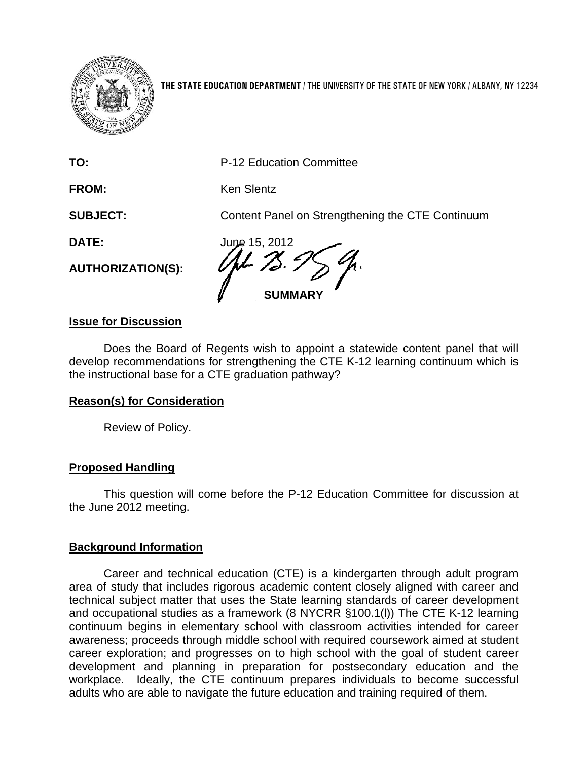

**THE STATE EDUCATION DEPARTMENT** / THE UNIVERSITY OF THE STATE OF NEW YORK / ALBANY, NY 12234

**TO:** P-12 Education Committee

FROM: Ken Slentz

**SUBJECT:** Content Panel on Strengthening the CTE Continuum

**AUTHORIZATION(S):**

**DATE:** June 15, 2012 **SUMMARY**

## **Issue for Discussion**

Does the Board of Regents wish to appoint a statewide content panel that will develop recommendations for strengthening the CTE K-12 learning continuum which is the instructional base for a CTE graduation pathway?

# **Reason(s) for Consideration**

Review of Policy.

# **Proposed Handling**

This question will come before the P-12 Education Committee for discussion at the June 2012 meeting.

### **Background Information**

Career and technical education (CTE) is a kindergarten through adult program area of study that includes rigorous academic content closely aligned with career and technical subject matter that uses the State learning standards of career development and occupational studies as a framework (8 NYCRR §100.1(l)) The CTE K-12 learning continuum begins in elementary school with classroom activities intended for career awareness; proceeds through middle school with required coursework aimed at student career exploration; and progresses on to high school with the goal of student career development and planning in preparation for postsecondary education and the workplace. Ideally, the CTE continuum prepares individuals to become successful adults who are able to navigate the future education and training required of them.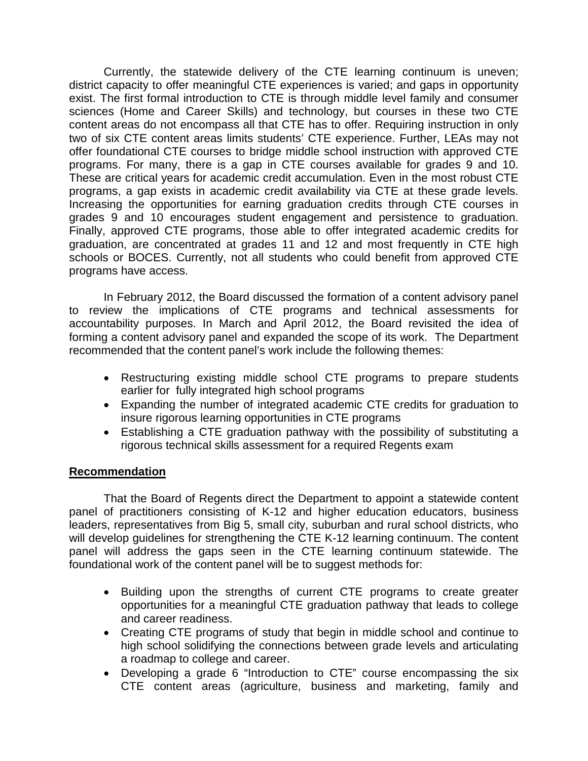Currently, the statewide delivery of the CTE learning continuum is uneven; district capacity to offer meaningful CTE experiences is varied; and gaps in opportunity exist. The first formal introduction to CTE is through middle level family and consumer sciences (Home and Career Skills) and technology, but courses in these two CTE content areas do not encompass all that CTE has to offer. Requiring instruction in only two of six CTE content areas limits students' CTE experience. Further, LEAs may not offer foundational CTE courses to bridge middle school instruction with approved CTE programs. For many, there is a gap in CTE courses available for grades 9 and 10. These are critical years for academic credit accumulation. Even in the most robust CTE programs, a gap exists in academic credit availability via CTE at these grade levels. Increasing the opportunities for earning graduation credits through CTE courses in grades 9 and 10 encourages student engagement and persistence to graduation. Finally, approved CTE programs, those able to offer integrated academic credits for graduation, are concentrated at grades 11 and 12 and most frequently in CTE high schools or BOCES. Currently, not all students who could benefit from approved CTE programs have access.

In February 2012, the Board discussed the formation of a content advisory panel to review the implications of CTE programs and technical assessments for accountability purposes. In March and April 2012, the Board revisited the idea of forming a content advisory panel and expanded the scope of its work. The Department recommended that the content panel's work include the following themes:

- Restructuring existing middle school CTE programs to prepare students earlier for fully integrated high school programs
- Expanding the number of integrated academic CTE credits for graduation to insure rigorous learning opportunities in CTE programs
- Establishing a CTE graduation pathway with the possibility of substituting a rigorous technical skills assessment for a required Regents exam

### **Recommendation**

That the Board of Regents direct the Department to appoint a statewide content panel of practitioners consisting of K-12 and higher education educators, business leaders, representatives from Big 5, small city, suburban and rural school districts, who will develop guidelines for strengthening the CTE K-12 learning continuum. The content panel will address the gaps seen in the CTE learning continuum statewide. The foundational work of the content panel will be to suggest methods for:

- Building upon the strengths of current CTE programs to create greater opportunities for a meaningful CTE graduation pathway that leads to college and career readiness.
- Creating CTE programs of study that begin in middle school and continue to high school solidifying the connections between grade levels and articulating a roadmap to college and career.
- Developing a grade 6 "Introduction to CTE" course encompassing the six CTE content areas (agriculture, business and marketing, family and